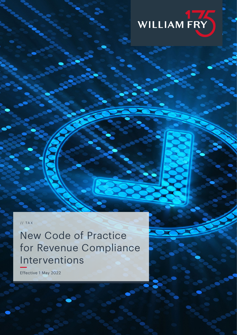

// TAX

New Code of Practice for Revenue Compliance Interventions

Effective 1 May 2022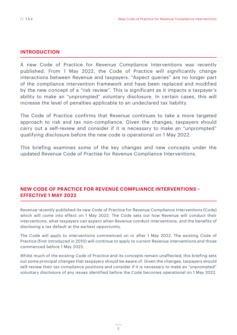# **INTRODUCTION**

A new Code of Practice for Revenue Compliance Interventions was recently published. From 1 May 2022, the Code of Practice will significantly change interactions between Revenue and taxpayers. "Aspect queries" are no longer part of the compliance intervention framework and have been replaced and modified by the new concept of a "risk review". This is significant as it impacts a taxpayer's ability to make an "unprompted" voluntary disclosure. In certain cases, this will increase the level of penalties applicable to an undeclared tax liability.

The Code of Practice confirms that Revenue continues to take a more targeted approach to risk and tax non-compliance. Given the changes, taxpayers should carry out a self-review and consider if it is necessary to make an "unprompted" qualifying disclosure before the new code is operational on 1 May 2022.

This briefing examines some of the key changes and new concepts under the updated Revenue Code of Practise for Revenue Compliance Interventions.

# **NEW CODE OF PRACTICE FOR REVENUE COMPLIANCE INTERVENTIONS – EFFECTIVE 1 MAY 2022**

Revenue recently published its new Code of Practice for Revenue Compliance Interventions (Code) which will come into effect on 1 May 2022. The Code sets out how Revenue will conduct their interventions, what taxpayers can expect when Revenue conduct interventions, and the benefits of disclosing a tax default at the earliest opportunity.

The Code will apply to interventions commenced on or after 1 May 2022. The existing Code of Practice (first introduced in 2010) will continue to apply to current Revenue interventions and those commenced before 1 May 2022.

Whilst much of the existing Code of Practice and its concepts remain unaffected, this briefing sets out some principal changes that taxpayers should be aware of. Given the changes, taxpayers should self-review their tax compliance positions and consider if it is necessary to make an "unprompted" voluntary disclosure of any issues identified before the Code becomes operational on 1 May 2022.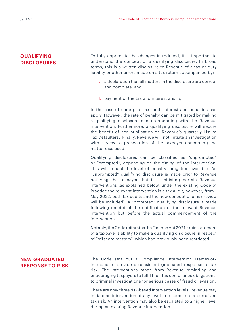# **QUALIFYING DISCLOSURES**

To fully appreciate the changes introduced, it is important to understand the concept of a qualifying disclosure. In broad terms, this is a written disclosure to Revenue of a tax or duty liability or other errors made on a tax return accompanied by:

- I. a declaration that all matters in the disclosure are correct and complete, and
- II. payment of the tax and interest arising.

In the case of underpaid tax, both interest and penalties can apply. However, the rate of penalty can be mitigated by making a qualifying disclosure and co-operating with the Revenue intervention. Furthermore, a qualifying disclosure will secure the benefit of non-publication on Revenue's quarterly List of Tax Defaulters. Finally, Revenue will not initiate an investigation with a view to prosecution of the taxpayer concerning the matter disclosed.

Qualifying disclosures can be classified as "unprompted" or "prompted", depending on the timing of the intervention. This will impact the level of penalty mitigation available. An "unprompted" qualifying disclosure is made prior to Revenue notifying the taxpayer that it is initiating certain Revenue interventions (as explained below, under the existing Code of Practice the relevant intervention is a tax audit, however, from 1 May 2022, both tax audits and the new concept of a risk review will be included). A "prompted" qualifying disclosure is made following receipt of the notification of the relevant Revenue intervention but before the actual commencement of the intervention.

Notably, the Code reiterates the Finance Act 2021's reinstatement of a taxpayer's ability to make a qualifying disclosure in respect of "offshore matters", which had previously been restricted.

# **NEW GRADUATED RESPONSE TO RISK**

The Code sets out a Compliance Intervention Framework intended to provide a consistent graduated response to tax risk. The interventions range from Revenue reminding and encouraging taxpayers to fulfil their tax compliance obligations, to criminal investigations for serious cases of fraud or evasion.

There are now three risk-based intervention levels. Revenue may initiate an intervention at any level in response to a perceived tax risk. An intervention may also be escalated to a higher level during an existing Revenue intervention.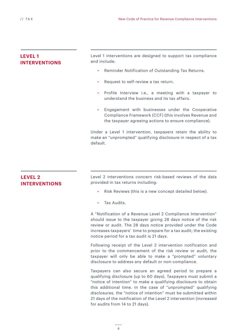# **LEVEL 1 INTERVENTIONS**

Level 1 interventions are designed to support tax compliance and include:

- Reminder Notification of Outstanding Tax Returns.
- Request to self-review a tax return.
- Profile Interview i.e., a meeting with a taxpayer to understand the business and its tax affairs.
- Engagement with businesses under the Cooperative Compliance Framework (CCF) (this involves Revenue and the taxpayer agreeing actions to ensure compliance).

Under a Level 1 intervention, taxpayers retain the ability to make an "unprompted" qualifying disclosure in respect of a tax default.

# **LEVEL 2 INTERVENTIONS**

Level 2 interventions concern risk-based reviews of the data provided in tax returns including:

- Risk Reviews (this is a new concept detailed below).
- Tax Audits.

A "Notification of a Revenue Level 2 Compliance Intervention" should issue to the taxpayer giving 28 days notice of the risk review or audit. The 28 days notice provided under the Code increases taxpayers' time to prepare for a tax audit; the existing notice period for a tax audit is 21 days.

Following receipt of the Level 2 intervention notification and prior to the commencement of the risk review or audit, the taxpayer will only be able to make a "prompted" voluntary disclosure to address any default or non-compliance.

Taxpayers can also secure an agreed period to prepare a qualifying disclosure (up to 60 days). Taxpayers must submit a "notice of intention" to make a qualifying disclosure to obtain this additional time. In the case of "unprompted" qualifying disclosures, the "notice of intention" must be submitted within 21 days of the notification of the Level 2 intervention (increased for audits from 14 to 21 days).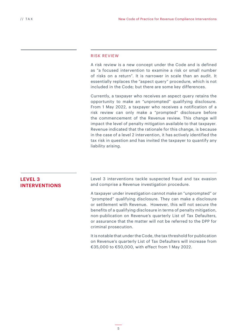### RISK REVIEW

A risk review is a new concept under the Code and is defined as "a focused intervention to examine a risk or small number of risks on a return". It is narrower in scale than an audit. It essentially replaces the "aspect query" procedure, which is not included in the Code; but there are some key differences.

Currently, a taxpayer who receives an aspect query retains the opportunity to make an "unprompted" qualifying disclosure. From 1 May 2022, a taxpayer who receives a notification of a risk review can only make a "prompted" disclosure before the commencement of the Revenue review. This change will impact the level of penalty mitigation available to that taxpayer. Revenue indicated that the rationale for this change, is because in the case of a level 2 intervention, it has actively identified the tax risk in question and has invited the taxpayer to quantify any liability arising.

# **LEVEL 3 INTERVENTIONS**

Level 3 interventions tackle suspected fraud and tax evasion and comprise a Revenue investigation procedure.

A taxpayer under investigation cannot make an "unprompted" or "prompted" qualifying disclosure. They can make a disclosure or settlement with Revenue. However, this will not secure the benefits of a qualifying disclosure in terms of penalty mitigation, non-publication on Revenue's quarterly List of Tax Defaulters, or assurance that the matter will not be referred to the DPP for criminal prosecution.

It is notable that under the Code, the tax threshold for publication on Revenue's quarterly List of Tax Defaulters will increase from €35,000 to €50,000, with effect from 1 May 2022.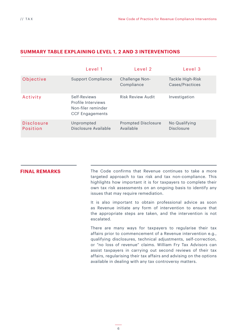|                               | Level 1                                                                            | Level 2                                 | Level <sub>3</sub>                  |
|-------------------------------|------------------------------------------------------------------------------------|-----------------------------------------|-------------------------------------|
| Objective                     | <b>Support Compliance</b>                                                          | Challenge Non-<br>Compliance            | Tackle High-Risk<br>Cases/Practices |
| Activity                      | Self-Reviews<br>Profile Interviews<br>Non-filer reminder<br><b>CCF Engagements</b> | Risk Review Audit                       | Investigation                       |
| <b>Disclosure</b><br>Position | Unprompted<br>Disclosure Available                                                 | <b>Prompted Disclosure</b><br>Available | No Qualifying<br><b>Disclosure</b>  |

## **SUMMARY TABLE EXPLAINING LEVEL 1, 2 AND 3 INTERVENTIONS**

**FINAL REMARKS** The Code confirms that Revenue continues to take a more targeted approach to tax risk and tax non-compliance. This highlights how important it is for taxpayers to complete their own tax risk assessments on an ongoing basis to identify any issues that may require remediation.

> It is also important to obtain professional advice as soon as Revenue initiate any form of intervention to ensure that the appropriate steps are taken, and the intervention is not escalated.

> There are many ways for taxpayers to regularise their tax affairs prior to commencement of a Revenue intervention e.g., qualifying disclosures, technical adjustments, self-correction, or "no loss of revenue" claims. William Fry Tax Advisors can assist taxpayers in carrying out second reviews of their tax affairs, regularising their tax affairs and advising on the options available in dealing with any tax controversy matters.